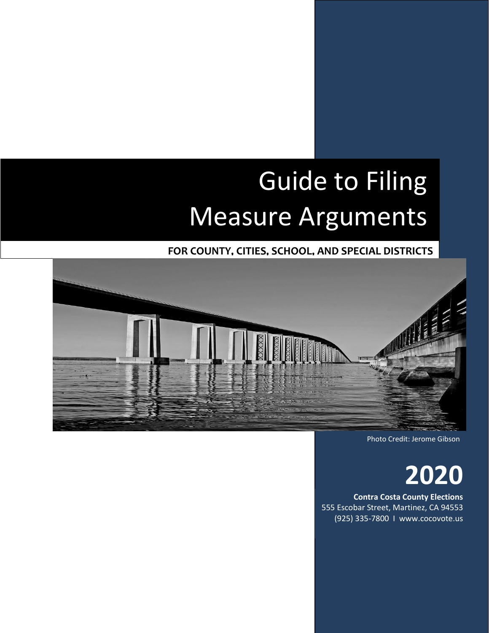# Guide to Filing Measure Arguments

**FOR COUNTY, CITIES, SCHOOL, AND SPECIAL DISTRICTS**



Photo Credit: Jerome Gibson

**2020**

**Contra Costa County Elections** 555 Escobar Street, Martinez, CA 94553 (925) 335-7800 I www.cocovote.us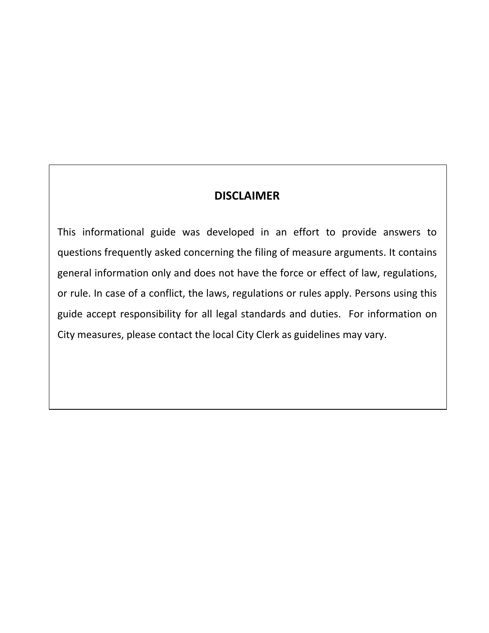# **DISCLAIMER**

This informational guide was developed in an effort to provide answers to questions frequently asked concerning the filing of measure arguments. It contains general information only and does not have the force or effect of law, regulations, or rule. In case of a conflict, the laws, regulations or rules apply. Persons using this guide accept responsibility for all legal standards and duties. For information on City measures, please contact the local City Clerk as guidelines may vary.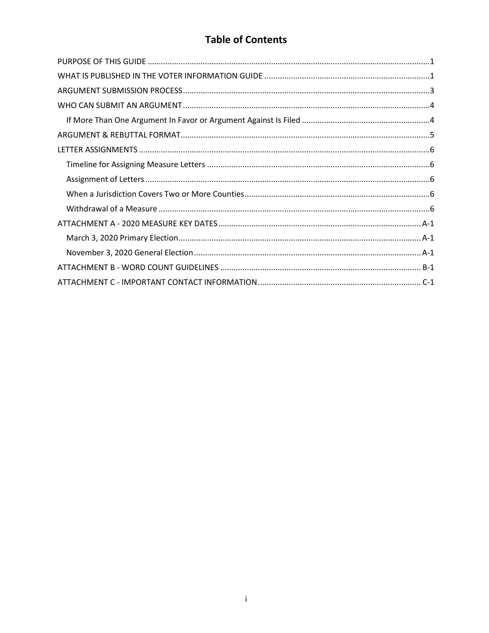# **Table of Contents**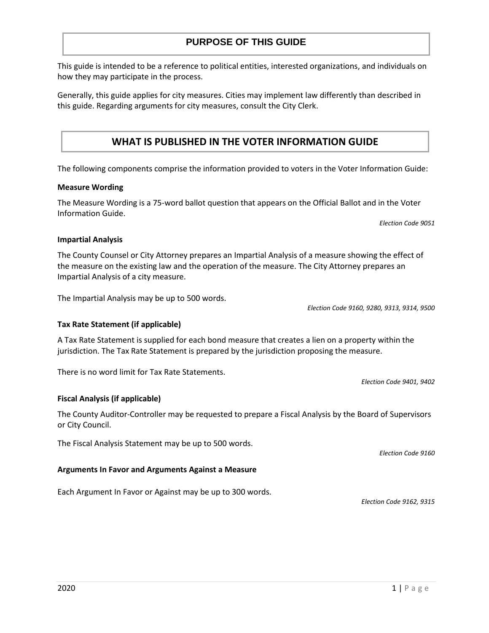#### The following components comprise the information provided to voters in the Voter Information Guide:

this guide. Regarding arguments for city measures, consult the City Clerk.

how they may participate in the process.

#### **Measure Wording**

The Measure Wording is a 75-word ballot question that appears on the Official Ballot and in the Voter Information Guide.

*Election Code 9051*

#### **Impartial Analysis**

The County Counsel or City Attorney prepares an Impartial Analysis of a measure showing the effect of the measure on the existing law and the operation of the measure. The City Attorney prepares an Impartial Analysis of a city measure.

The Impartial Analysis may be up to 500 words.

*Election Code 9160, 9280, 9313, 9314, 9500*

#### **Tax Rate Statement (if applicable)**

A Tax Rate Statement is supplied for each bond measure that creates a lien on a property within the jurisdiction. The Tax Rate Statement is prepared by the jurisdiction proposing the measure.

There is no word limit for Tax Rate Statements.

#### **Fiscal Analysis (if applicable)**

The County Auditor-Controller may be requested to prepare a Fiscal Analysis by the Board of Supervisors or City Council.

The Fiscal Analysis Statement may be up to 500 words.

#### **Arguments In Favor and Arguments Against a Measure**

Each Argument In Favor or Against may be up to 300 words.

*Election Code 9160*

*Election Code 9162, 9315*

*Election Code 9401, 9402*

#### **PURPOSE OF THIS GUIDE**

This guide is intended to be a reference to political entities, interested organizations, and individuals on

Generally, this guide applies for city measures. Cities may implement law differently than described in

**WHAT IS PUBLISHED IN THE VOTER INFORMATION GUIDE**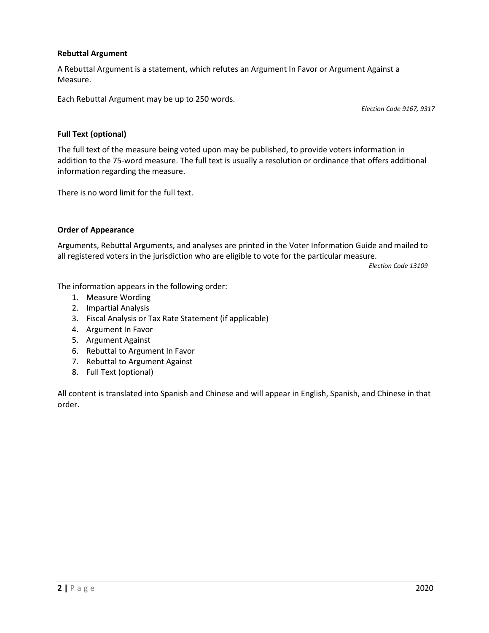## **Rebuttal Argument**

A Rebuttal Argument is a statement, which refutes an Argument In Favor or Argument Against a Measure.

Each Rebuttal Argument may be up to 250 words.

*Election Code 9167, 9317*

## **Full Text (optional)**

The full text of the measure being voted upon may be published, to provide voters information in addition to the 75-word measure. The full text is usually a resolution or ordinance that offers additional information regarding the measure.

There is no word limit for the full text.

## **Order of Appearance**

Arguments, Rebuttal Arguments, and analyses are printed in the Voter Information Guide and mailed to all registered voters in the jurisdiction who are eligible to vote for the particular measure.

*Election Code 13109*

The information appears in the following order:

- 1. Measure Wording
- 2. Impartial Analysis
- 3. Fiscal Analysis or Tax Rate Statement (if applicable)
- 4. Argument In Favor
- 5. Argument Against
- 6. Rebuttal to Argument In Favor
- 7. Rebuttal to Argument Against
- 8. Full Text (optional)

All content is translated into Spanish and Chinese and will appear in English, Spanish, and Chinese in that order.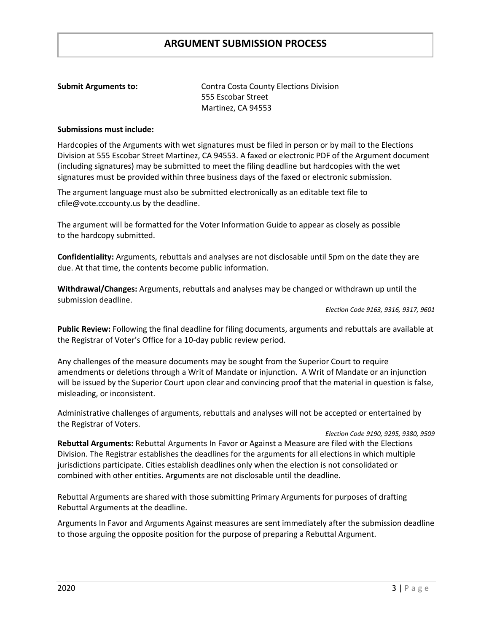## **ARGUMENT SUBMISSION PROCESS**

**Submit Arguments to:** Contra Costa County Elections Division 555 Escobar Street Martinez, CA 94553

#### **Submissions must include:**

Hardcopies of the Arguments with wet signatures must be filed in person or by mail to the Elections Division at 555 Escobar Street Martinez, CA 94553. A faxed or electronic PDF of the Argument document (including signatures) may be submitted to meet the filing deadline but hardcopies with the wet signatures must be provided within three business days of the faxed or electronic submission.

The argument language must also be submitted electronically as an editable text file to [cfile@vote.cccounty.us](mailto:cfile@vote.cccounty.us) by the deadline.

The argument will be formatted for the Voter Information Guide to appear as closely as possible to the hardcopy submitted.

**Confidentiality:** Arguments, rebuttals and analyses are not disclosable until 5pm on the date they are due. At that time, the contents become public information.

**Withdrawal/Changes:** Arguments, rebuttals and analyses may be changed or withdrawn up until the submission deadline.

*Election Code 9163, 9316, 9317, 9601*

**Public Review:** Following the final deadline for filing documents, arguments and rebuttals are available at the Registrar of Voter's Office for a 10-day public review period.

Any challenges of the measure documents may be sought from the Superior Court to require amendments or deletions through a Writ of Mandate or injunction. A Writ of Mandate or an injunction will be issued by the Superior Court upon clear and convincing proof that the material in question is false, misleading, or inconsistent.

Administrative challenges of arguments, rebuttals and analyses will not be accepted or entertained by the Registrar of Voters.

 *Election Code 9190, 9295, 9380, 9509* **Rebuttal Arguments:** Rebuttal Arguments In Favor or Against a Measure are filed with the Elections Division. The Registrar establishes the deadlines for the arguments for all elections in which multiple jurisdictions participate. Cities establish deadlines only when the election is not consolidated or combined with other entities. Arguments are not disclosable until the deadline.

Rebuttal Arguments are shared with those submitting Primary Arguments for purposes of drafting Rebuttal Arguments at the deadline.

Arguments In Favor and Arguments Against measures are sent immediately after the submission deadline to those arguing the opposite position for the purpose of preparing a Rebuttal Argument.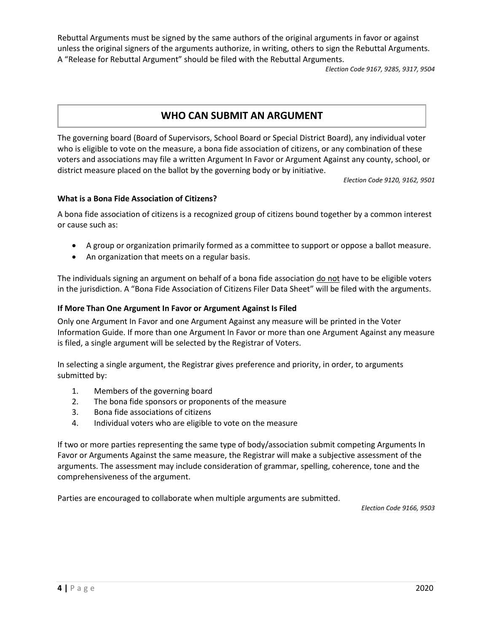Rebuttal Arguments must be signed by the same authors of the original arguments in favor or against unless the original signers of the arguments authorize, in writing, others to sign the Rebuttal Arguments. A "Release for Rebuttal Argument" should be filed with the Rebuttal Arguments.

*Election Code 9167, 9285, 9317, 9504*

# **WHO CAN SUBMIT AN ARGUMENT**

The governing board (Board of Supervisors, School Board or Special District Board), any individual voter who is eligible to vote on the measure, a bona fide association of citizens, or any combination of these voters and associations may file a written Argument In Favor or Argument Against any county, school, or district measure placed on the ballot by the governing body or by initiative.

*Election Code 9120, 9162, 9501*

## **What is a Bona Fide Association of Citizens?**

A bona fide association of citizens is a recognized group of citizens bound together by a common interest or cause such as:

- A group or organization primarily formed as a committee to support or oppose a ballot measure.
- An organization that meets on a regular basis.

The individuals signing an argument on behalf of a bona fide association do not have to be eligible voters in the jurisdiction. A "Bona Fide Association of Citizens Filer Data Sheet" will be filed with the arguments.

## <span id="page-6-0"></span>**If More Than One Argument In Favor or Argument Against Is Filed**

Only one Argument In Favor and one Argument Against any measure will be printed in the Voter Information Guide. If more than one Argument In Favor or more than one Argument Against any measure is filed, a single argument will be selected by the Registrar of Voters.

In selecting a single argument, the Registrar gives preference and priority, in order, to arguments submitted by:

- 1. Members of the governing board
- 2. The bona fide sponsors or proponents of the measure
- 3. Bona fide associations of citizens
- 4. Individual voters who are eligible to vote on the measure

If two or more parties representing the same type of body/association submit competing Arguments In Favor or Arguments Against the same measure, the Registrar will make a subjective assessment of the arguments. The assessment may include consideration of grammar, spelling, coherence, tone and the comprehensiveness of the argument.

Parties are encouraged to collaborate when multiple arguments are submitted.

*Election Code 9166, 9503*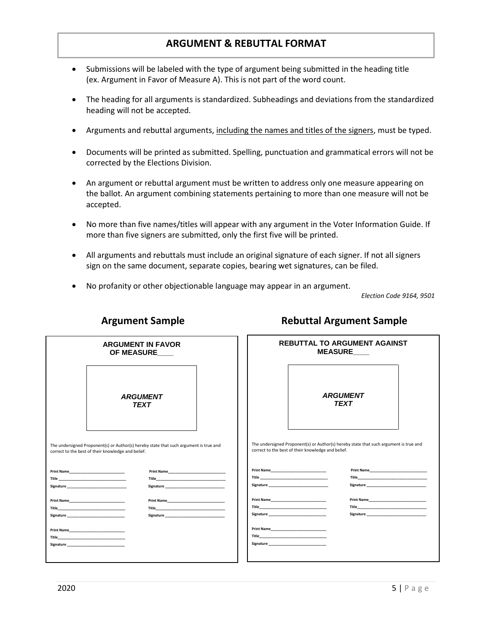## **ARGUMENT & REBUTTAL FORMAT**

- Submissions will be labeled with the type of argument being submitted in the heading title (ex. Argument in Favor of Measure A). This is not part of the word count.
- The heading for all arguments is standardized. Subheadings and deviations from the standardized heading will not be accepted.
- Arguments and rebuttal arguments, including the names and titles of the signers, must be typed.
- Documents will be printed as submitted. Spelling, punctuation and grammatical errors will not be corrected by the Elections Division.
- An argument or rebuttal argument must be written to address only one measure appearing on the ballot. An argument combining statements pertaining to more than one measure will not be accepted.
- No more than five names/titles will appear with any argument in the Voter Information Guide. If more than five signers are submitted, only the first five will be printed.
- All arguments and rebuttals must include an original signature of each signer. If not all signers sign on the same document, separate copies, bearing wet signatures, can be filed.
- No profanity or other objectionable language may appear in an argument.

 *Election Code 9164, 9501*

| <b>ARGUMENT</b><br><b>ARGUMENT</b><br><b>TEXT</b><br><b>TEXT</b><br>The undersigned Proponent(s) or Author(s) hereby state that such argument is true and<br>The undersigned Proponent(s) or Author(s) hereby state that such argument is true and<br>correct to the best of their knowledge and belief.<br>correct to the best of their knowledge and belief.<br>Title <b>The Community of the Community Community</b><br><b>Signature</b> and the state of the state of the state of the state of the state of the state of the state of the state of the state of the state of the state of the state of the state of the state of the state of the state o<br><b>Signature</b> and the state of the state of the state of the state of the state of the state of the state of the state of the state of the state of the state of the state of the state of the state of the state of the state o<br><b>Print Name</b><br>Title and the contract of the contract of the contract of the contract of the contract of the contract of the<br>Title <b>The Community of the Community Community</b><br><b>Signature</b> and the state of the state of the state of the state of the state of the state of the state of the state of the state of the state of the state of the state of the state of the state of the state of the state o<br><b>Signature</b> and the state of the state of the state of the state of the state of the state of the state of the state of the state of the state of the state of the state of the state of the state of the state of the state o<br><b>Print Name</b><br>Title <b>The Community of the Community Community</b><br>Title and the contract of the contract of the contract of the contract of the contract of the contract of the | <b>ARGUMENT IN FAVOR</b><br>OF MEASURE___ |  |  |  | <b>REBUTTAL TO ARGUMENT AGAINST</b><br><b>MEASURE</b> |  |  |
|-----------------------------------------------------------------------------------------------------------------------------------------------------------------------------------------------------------------------------------------------------------------------------------------------------------------------------------------------------------------------------------------------------------------------------------------------------------------------------------------------------------------------------------------------------------------------------------------------------------------------------------------------------------------------------------------------------------------------------------------------------------------------------------------------------------------------------------------------------------------------------------------------------------------------------------------------------------------------------------------------------------------------------------------------------------------------------------------------------------------------------------------------------------------------------------------------------------------------------------------------------------------------------------------------------------------------------------------------------------------------------------------------------------------------------------------------------------------------------------------------------------------------------------------------------------------------------------------------------------------------------------------------------------------------------------------------------------------------------------------------------------------------------------|-------------------------------------------|--|--|--|-------------------------------------------------------|--|--|
|                                                                                                                                                                                                                                                                                                                                                                                                                                                                                                                                                                                                                                                                                                                                                                                                                                                                                                                                                                                                                                                                                                                                                                                                                                                                                                                                                                                                                                                                                                                                                                                                                                                                                                                                                                                   |                                           |  |  |  |                                                       |  |  |
|                                                                                                                                                                                                                                                                                                                                                                                                                                                                                                                                                                                                                                                                                                                                                                                                                                                                                                                                                                                                                                                                                                                                                                                                                                                                                                                                                                                                                                                                                                                                                                                                                                                                                                                                                                                   |                                           |  |  |  |                                                       |  |  |
|                                                                                                                                                                                                                                                                                                                                                                                                                                                                                                                                                                                                                                                                                                                                                                                                                                                                                                                                                                                                                                                                                                                                                                                                                                                                                                                                                                                                                                                                                                                                                                                                                                                                                                                                                                                   |                                           |  |  |  |                                                       |  |  |
|                                                                                                                                                                                                                                                                                                                                                                                                                                                                                                                                                                                                                                                                                                                                                                                                                                                                                                                                                                                                                                                                                                                                                                                                                                                                                                                                                                                                                                                                                                                                                                                                                                                                                                                                                                                   |                                           |  |  |  |                                                       |  |  |
|                                                                                                                                                                                                                                                                                                                                                                                                                                                                                                                                                                                                                                                                                                                                                                                                                                                                                                                                                                                                                                                                                                                                                                                                                                                                                                                                                                                                                                                                                                                                                                                                                                                                                                                                                                                   |                                           |  |  |  |                                                       |  |  |
|                                                                                                                                                                                                                                                                                                                                                                                                                                                                                                                                                                                                                                                                                                                                                                                                                                                                                                                                                                                                                                                                                                                                                                                                                                                                                                                                                                                                                                                                                                                                                                                                                                                                                                                                                                                   |                                           |  |  |  |                                                       |  |  |
|                                                                                                                                                                                                                                                                                                                                                                                                                                                                                                                                                                                                                                                                                                                                                                                                                                                                                                                                                                                                                                                                                                                                                                                                                                                                                                                                                                                                                                                                                                                                                                                                                                                                                                                                                                                   |                                           |  |  |  |                                                       |  |  |
|                                                                                                                                                                                                                                                                                                                                                                                                                                                                                                                                                                                                                                                                                                                                                                                                                                                                                                                                                                                                                                                                                                                                                                                                                                                                                                                                                                                                                                                                                                                                                                                                                                                                                                                                                                                   |                                           |  |  |  |                                                       |  |  |
|                                                                                                                                                                                                                                                                                                                                                                                                                                                                                                                                                                                                                                                                                                                                                                                                                                                                                                                                                                                                                                                                                                                                                                                                                                                                                                                                                                                                                                                                                                                                                                                                                                                                                                                                                                                   |                                           |  |  |  |                                                       |  |  |
|                                                                                                                                                                                                                                                                                                                                                                                                                                                                                                                                                                                                                                                                                                                                                                                                                                                                                                                                                                                                                                                                                                                                                                                                                                                                                                                                                                                                                                                                                                                                                                                                                                                                                                                                                                                   |                                           |  |  |  |                                                       |  |  |
|                                                                                                                                                                                                                                                                                                                                                                                                                                                                                                                                                                                                                                                                                                                                                                                                                                                                                                                                                                                                                                                                                                                                                                                                                                                                                                                                                                                                                                                                                                                                                                                                                                                                                                                                                                                   |                                           |  |  |  |                                                       |  |  |
|                                                                                                                                                                                                                                                                                                                                                                                                                                                                                                                                                                                                                                                                                                                                                                                                                                                                                                                                                                                                                                                                                                                                                                                                                                                                                                                                                                                                                                                                                                                                                                                                                                                                                                                                                                                   |                                           |  |  |  |                                                       |  |  |
|                                                                                                                                                                                                                                                                                                                                                                                                                                                                                                                                                                                                                                                                                                                                                                                                                                                                                                                                                                                                                                                                                                                                                                                                                                                                                                                                                                                                                                                                                                                                                                                                                                                                                                                                                                                   |                                           |  |  |  |                                                       |  |  |
|                                                                                                                                                                                                                                                                                                                                                                                                                                                                                                                                                                                                                                                                                                                                                                                                                                                                                                                                                                                                                                                                                                                                                                                                                                                                                                                                                                                                                                                                                                                                                                                                                                                                                                                                                                                   |                                           |  |  |  |                                                       |  |  |

# **Argument Sample Rebuttal Argument Sample**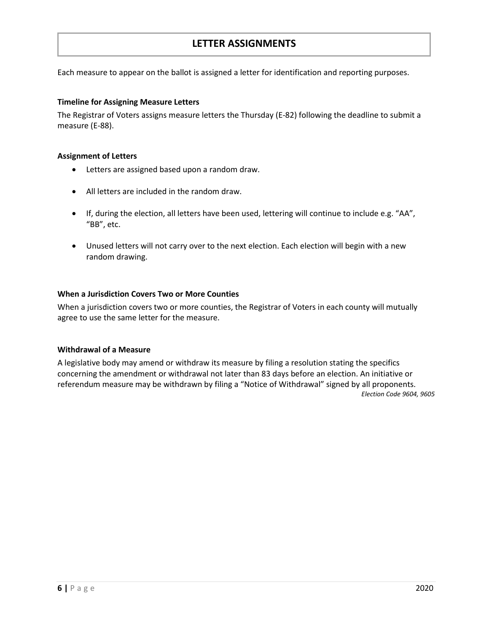## **LETTER ASSIGNMENTS**

Each measure to appear on the ballot is assigned a letter for identification and reporting purposes.

## <span id="page-8-0"></span>**Timeline for Assigning Measure Letters**

The Registrar of Voters assigns measure letters the Thursday (E-82) following the deadline to submit a measure (E-88).

## <span id="page-8-1"></span>**Assignment of Letters**

- Letters are assigned based upon a random draw.
- All letters are included in the random draw.
- If, during the election, all letters have been used, lettering will continue to include e.g. "AA", "BB", etc.
- Unused letters will not carry over to the next election. Each election will begin with a new random drawing.

## <span id="page-8-2"></span>**When a Jurisdiction Covers Two or More Counties**

When a jurisdiction covers two or more counties, the Registrar of Voters in each county will mutually agree to use the same letter for the measure.

## <span id="page-8-3"></span>**Withdrawal of a Measure**

A legislative body may amend or withdraw its measure by filing a resolution stating the specifics concerning the amendment or withdrawal not later than 83 days before an election. An initiative or referendum measure may be withdrawn by filing a "Notice of Withdrawal" signed by all proponents. *Election Code 9604, 9605*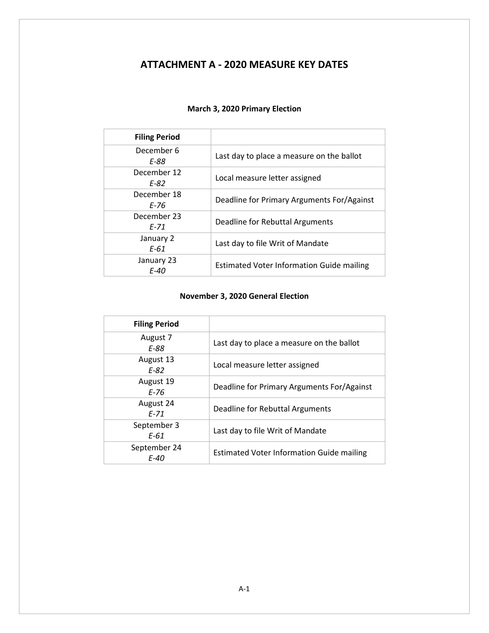# <span id="page-9-0"></span>**ATTACHMENT A - 2020 MEASURE KEY DATES**

<span id="page-9-1"></span>

| <b>Filing Period</b>      |                                                  |
|---------------------------|--------------------------------------------------|
| December 6<br>E-88        | Last day to place a measure on the ballot        |
| December 12<br>F-82       | Local measure letter assigned                    |
| December 18<br>F-76       | Deadline for Primary Arguments For/Against       |
| December 23<br>F-71       | Deadline for Rebuttal Arguments                  |
| January 2<br>$E-61$       | Last day to file Writ of Mandate                 |
| January 23<br><b>F-40</b> | <b>Estimated Voter Information Guide mailing</b> |

## **March 3, 2020 Primary Election**

## **November 3, 2020 General Election**

<span id="page-9-2"></span>

| <b>Filing Period</b>        |                                                  |
|-----------------------------|--------------------------------------------------|
| August 7<br>E-88            | Last day to place a measure on the ballot        |
| August 13<br>$F-82$         | Local measure letter assigned                    |
| August 19<br>$F-76$         | Deadline for Primary Arguments For/Against       |
| August 24<br>$F-71$         | Deadline for Rebuttal Arguments                  |
| September 3<br>E-61         | Last day to file Writ of Mandate                 |
| September 24<br><b>F-40</b> | <b>Estimated Voter Information Guide mailing</b> |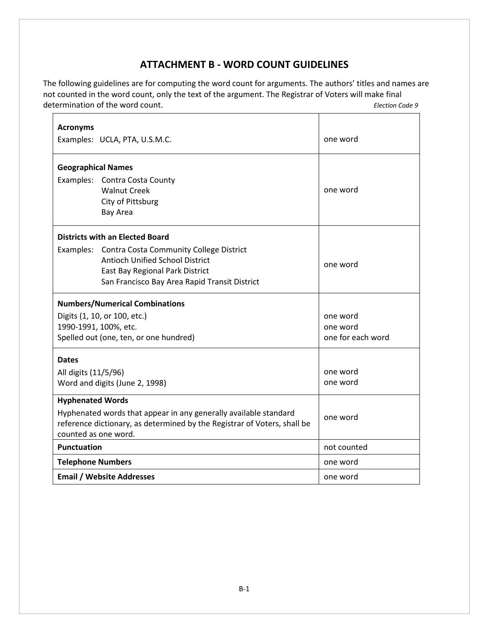# **ATTACHMENT B - WORD COUNT GUIDELINES**

<span id="page-11-0"></span>The following guidelines are for computing the word count for arguments. The authors' titles and names are not counted in the word count, only the text of the argument. The Registrar of Voters will make final determination of the word count. *Election Code 9* 

| <b>Acronyms</b>           |                                                                          | one word          |
|---------------------------|--------------------------------------------------------------------------|-------------------|
|                           | Examples: UCLA, PTA, U.S.M.C.                                            |                   |
| <b>Geographical Names</b> |                                                                          |                   |
|                           | Examples: Contra Costa County                                            |                   |
|                           | <b>Walnut Creek</b>                                                      | one word          |
|                           | City of Pittsburg                                                        |                   |
|                           | Bay Area                                                                 |                   |
|                           | <b>Districts with an Elected Board</b>                                   |                   |
|                           | Examples: Contra Costa Community College District                        |                   |
|                           | <b>Antioch Unified School District</b>                                   | one word          |
|                           | East Bay Regional Park District                                          |                   |
|                           | San Francisco Bay Area Rapid Transit District                            |                   |
|                           | <b>Numbers/Numerical Combinations</b>                                    |                   |
|                           | Digits (1, 10, or 100, etc.)                                             | one word          |
|                           | 1990-1991, 100%, etc.                                                    | one word          |
|                           | Spelled out (one, ten, or one hundred)                                   | one for each word |
| <b>Dates</b>              |                                                                          |                   |
| All digits (11/5/96)      |                                                                          | one word          |
|                           | Word and digits (June 2, 1998)                                           | one word          |
| <b>Hyphenated Words</b>   |                                                                          |                   |
|                           | Hyphenated words that appear in any generally available standard         | one word          |
| counted as one word.      | reference dictionary, as determined by the Registrar of Voters, shall be |                   |
| <b>Punctuation</b>        |                                                                          | not counted       |
| <b>Telephone Numbers</b>  |                                                                          | one word          |
|                           | <b>Email / Website Addresses</b>                                         | one word          |